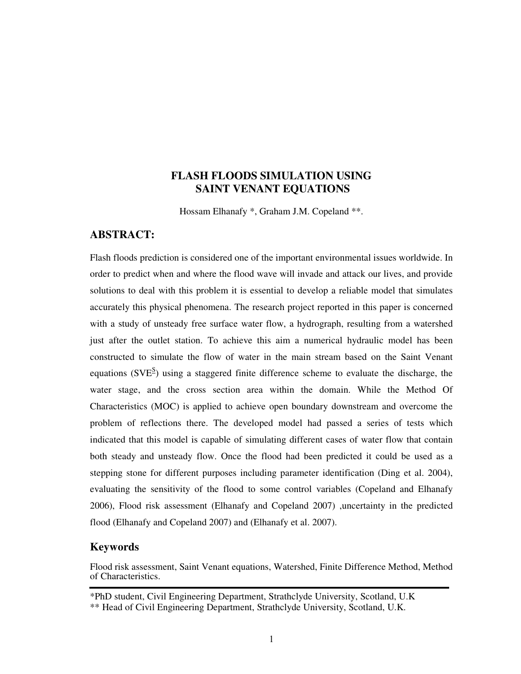# **FLASH FLOODS SIMULATION USING SAINT VENANT EQUATIONS**

Hossam Elhanafy \*, Graham J.M. Copeland \*\*.

#### **ABSTRACT:**

Flash floods prediction is considered one of the important environmental issues worldwide. In order to predict when and where the flood wave will invade and attack our lives, and provide solutions to deal with this problem it is essential to develop a reliable model that simulates accurately this physical phenomena. The research project reported in this paper is concerned with a study of unsteady free surface water flow, a hydrograph, resulting from a watershed just after the outlet station. To achieve this aim a numerical hydraulic model has been constructed to simulate the flow of water in the main stream based on the Saint Venant equations ( $SVE^{\text{S}}$ ) using a staggered finite difference scheme to evaluate the discharge, the water stage, and the cross section area within the domain. While the Method Of Characteristics (MOC) is applied to achieve open boundary downstream and overcome the problem of reflections there. The developed model had passed a series of tests which indicated that this model is capable of simulating different cases of water flow that contain both steady and unsteady flow. Once the flood had been predicted it could be used as a stepping stone for different purposes including parameter identification (Ding et al. 2004), evaluating the sensitivity of the flood to some control variables (Copeland and Elhanafy 2006), Flood risk assessment (Elhanafy and Copeland 2007) ,uncertainty in the predicted flood (Elhanafy and Copeland 2007) and (Elhanafy et al. 2007).

### **Keywords**

Flood risk assessment, Saint Venant equations, Watershed, Finite Difference Method, Method of Characteristics.

<sup>\*</sup>PhD student, Civil Engineering Department, Strathclyde University, Scotland, U.K

<sup>\*\*</sup> Head of Civil Engineering Department, Strathclyde University, Scotland, U.K.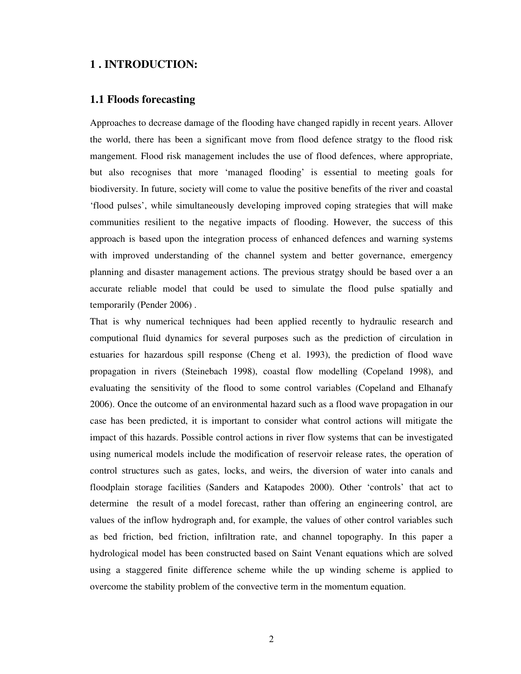#### **1 . INTRODUCTION:**

### **1.1 Floods forecasting**

Approaches to decrease damage of the flooding have changed rapidly in recent years. Allover the world, there has been a significant move from flood defence stratgy to the flood risk mangement. Flood risk management includes the use of flood defences, where appropriate, but also recognises that more 'managed flooding' is essential to meeting goals for biodiversity. In future, society will come to value the positive benefits of the river and coastal 'flood pulses', while simultaneously developing improved coping strategies that will make communities resilient to the negative impacts of flooding. However, the success of this approach is based upon the integration process of enhanced defences and warning systems with improved understanding of the channel system and better governance, emergency planning and disaster management actions. The previous stratgy should be based over a an accurate reliable model that could be used to simulate the flood pulse spatially and temporarily (Pender 2006) .

That is why numerical techniques had been applied recently to hydraulic research and computional fluid dynamics for several purposes such as the prediction of circulation in estuaries for hazardous spill response (Cheng et al. 1993), the prediction of flood wave propagation in rivers (Steinebach 1998), coastal flow modelling (Copeland 1998), and evaluating the sensitivity of the flood to some control variables (Copeland and Elhanafy 2006). Once the outcome of an environmental hazard such as a flood wave propagation in our case has been predicted, it is important to consider what control actions will mitigate the impact of this hazards. Possible control actions in river flow systems that can be investigated using numerical models include the modification of reservoir release rates, the operation of control structures such as gates, locks, and weirs, the diversion of water into canals and floodplain storage facilities (Sanders and Katapodes 2000). Other 'controls' that act to determine the result of a model forecast, rather than offering an engineering control, are values of the inflow hydrograph and, for example, the values of other control variables such as bed friction, bed friction, infiltration rate, and channel topography. In this paper a hydrological model has been constructed based on Saint Venant equations which are solved using a staggered finite difference scheme while the up winding scheme is applied to overcome the stability problem of the convective term in the momentum equation.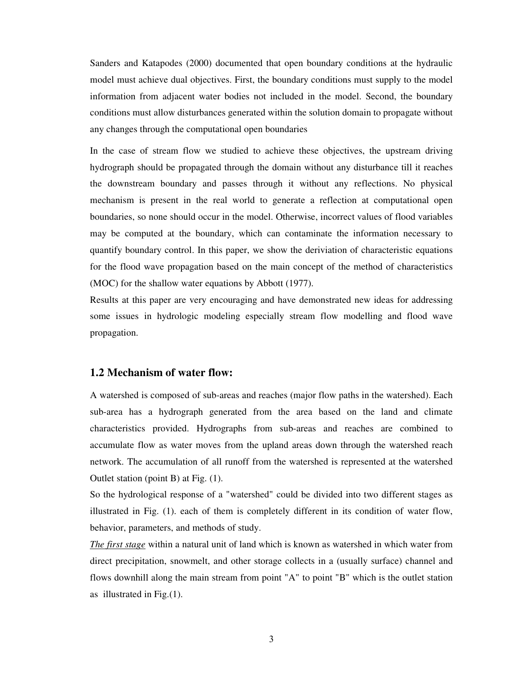Sanders and Katapodes (2000) documented that open boundary conditions at the hydraulic model must achieve dual objectives. First, the boundary conditions must supply to the model information from adjacent water bodies not included in the model. Second, the boundary conditions must allow disturbances generated within the solution domain to propagate without any changes through the computational open boundaries

In the case of stream flow we studied to achieve these objectives, the upstream driving hydrograph should be propagated through the domain without any disturbance till it reaches the downstream boundary and passes through it without any reflections. No physical mechanism is present in the real world to generate a reflection at computational open boundaries, so none should occur in the model. Otherwise, incorrect values of flood variables may be computed at the boundary, which can contaminate the information necessary to quantify boundary control. In this paper, we show the deriviation of characteristic equations for the flood wave propagation based on the main concept of the method of characteristics (MOC) for the shallow water equations by Abbott (1977).

Results at this paper are very encouraging and have demonstrated new ideas for addressing some issues in hydrologic modeling especially stream flow modelling and flood wave propagation.

#### **1.2 Mechanism of water flow:**

A watershed is composed of sub-areas and reaches (major flow paths in the watershed). Each sub-area has a hydrograph generated from the area based on the land and climate characteristics provided. Hydrographs from sub-areas and reaches are combined to accumulate flow as water moves from the upland areas down through the watershed reach network. The accumulation of all runoff from the watershed is represented at the watershed Outlet station (point B) at Fig. (1).

So the hydrological response of a "watershed" could be divided into two different stages as illustrated in Fig. (1). each of them is completely different in its condition of water flow, behavior, parameters, and methods of study.

*The first stage* within a natural unit of land which is known as watershed in which water from direct precipitation, snowmelt, and other storage collects in a (usually surface) channel and flows downhill along the main stream from point "A" to point "B" which is the outlet station as illustrated in Fig.(1).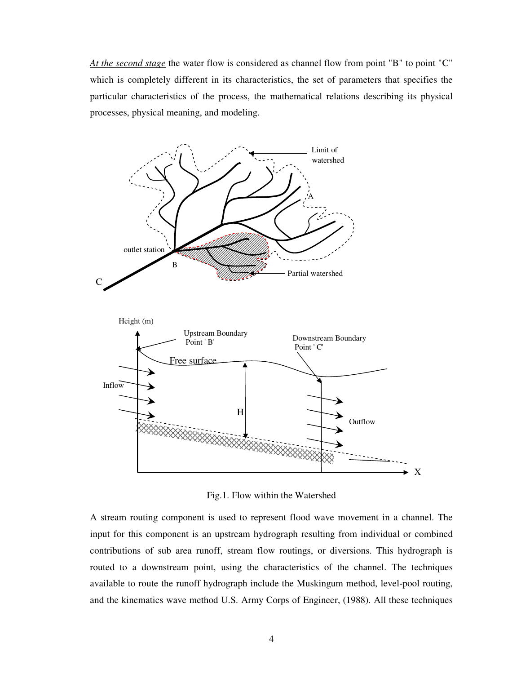*At the second stage* the water flow is considered as channel flow from point "B" to point "C" which is completely different in its characteristics, the set of parameters that specifies the particular characteristics of the process, the mathematical relations describing its physical processes, physical meaning, and modeling.



Fig.1. Flow within the Watershed

A stream routing component is used to represent flood wave movement in a channel. The input for this component is an upstream hydrograph resulting from individual or combined contributions of sub area runoff, stream flow routings, or diversions. This hydrograph is routed to a downstream point, using the characteristics of the channel. The techniques available to route the runoff hydrograph include the Muskingum method, level-pool routing, and the kinematics wave method U.S. Army Corps of Engineer, (1988). All these techniques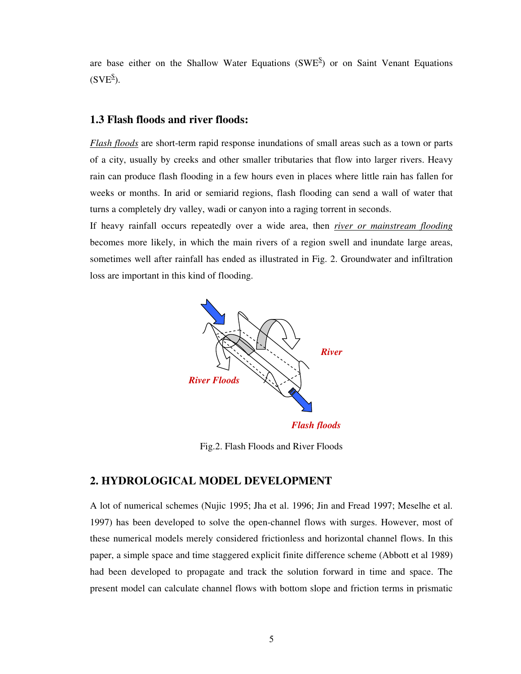are base either on the Shallow Water Equations ( $SWE^S$ ) or on Saint Venant Equations  $(SVE^S)$ .

### **1.3 Flash floods and river floods:**

*Flash floods* are short-term rapid response inundations of small areas such as a town or parts of a city, usually by creeks and other smaller tributaries that flow into larger rivers. Heavy rain can produce flash flooding in a few hours even in places where little rain has fallen for weeks or months. In arid or semiarid regions, flash flooding can send a wall of water that turns a completely dry valley, wadi or canyon into a raging torrent in seconds.

If heavy rainfall occurs repeatedly over a wide area, then *river or mainstream flooding* becomes more likely, in which the main rivers of a region swell and inundate large areas, sometimes well after rainfall has ended as illustrated in Fig. 2. Groundwater and infiltration loss are important in this kind of flooding.



Fig.2. Flash Floods and River Floods

# **2. HYDROLOGICAL MODEL DEVELOPMENT**

A lot of numerical schemes (Nujic 1995; Jha et al. 1996; Jin and Fread 1997; Meselhe et al. 1997) has been developed to solve the open-channel flows with surges. However, most of these numerical models merely considered frictionless and horizontal channel flows. In this paper, a simple space and time staggered explicit finite difference scheme (Abbott et al 1989) had been developed to propagate and track the solution forward in time and space. The present model can calculate channel flows with bottom slope and friction terms in prismatic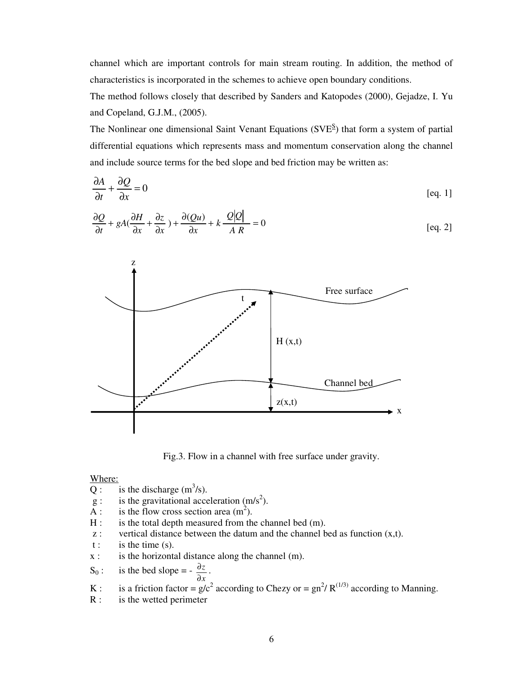channel which are important controls for main stream routing. In addition, the method of characteristics is incorporated in the schemes to achieve open boundary conditions.

The method follows closely that described by Sanders and Katopodes (2000), Gejadze, I. Yu and Copeland, G.J.M., (2005).

The Nonlinear one dimensional Saint Venant Equations  $(SVE^{S})$  that form a system of partial differential equations which represents mass and momentum conservation along the channel and include source terms for the bed slope and bed friction may be written as:

$$
\frac{\partial A}{\partial t} + \frac{\partial Q}{\partial x} = 0
$$
 [eq. 1]

$$
\frac{\partial Q}{\partial t} + gA(\frac{\partial H}{\partial x} + \frac{\partial z}{\partial x}) + \frac{\partial (Qu)}{\partial x} + k \frac{Q|Q|}{AR} = 0
$$
 [eq. 2]



Fig.3. Flow in a channel with free surface under gravity.

#### Where:

- Q: is the discharge  $(m^3/s)$ .
- $g:$  is the gravitational acceleration  $(m/s<sup>2</sup>)$ .
- $\overline{A}$ : is the flow cross section area (m<sup>2</sup>).
- H : is the total depth measured from the channel bed (m).
- $z$ : vertical distance between the datum and the channel bed as function  $(x,t)$ .
- $t$  : is the time (s).
- $x$  : is the horizontal distance along the channel (m).
- $S_0$ : is the bed slope = *x z* ∂  $\frac{\partial z}{\partial x}$ .
- K : is a friction factor =  $g/c^2$  according to Chezy or =  $g n^2/R^{(1/3)}$  according to Manning.
- R : is the wetted perimeter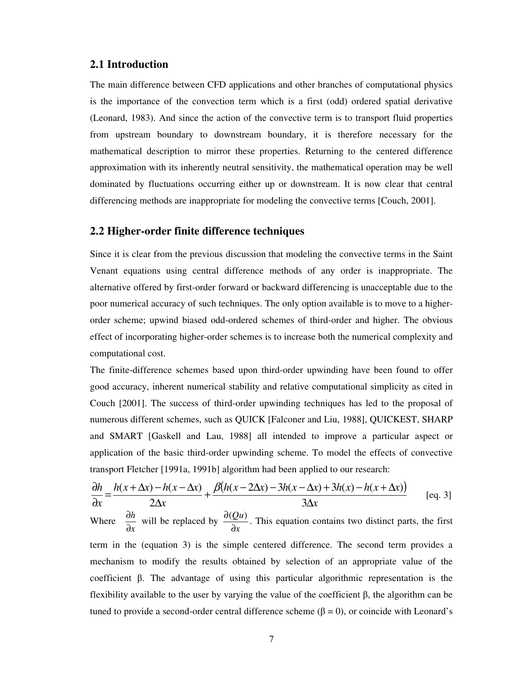#### **2.1 Introduction**

The main difference between CFD applications and other branches of computational physics is the importance of the convection term which is a first (odd) ordered spatial derivative (Leonard, 1983). And since the action of the convective term is to transport fluid properties from upstream boundary to downstream boundary, it is therefore necessary for the mathematical description to mirror these properties. Returning to the centered difference approximation with its inherently neutral sensitivity, the mathematical operation may be well dominated by fluctuations occurring either up or downstream. It is now clear that central differencing methods are inappropriate for modeling the convective terms [Couch, 2001].

# **2.2 Higher-order finite difference techniques**

Since it is clear from the previous discussion that modeling the convective terms in the Saint Venant equations using central difference methods of any order is inappropriate. The alternative offered by first-order forward or backward differencing is unacceptable due to the poor numerical accuracy of such techniques. The only option available is to move to a higherorder scheme; upwind biased odd-ordered schemes of third-order and higher. The obvious effect of incorporating higher-order schemes is to increase both the numerical complexity and computational cost.

The finite-difference schemes based upon third-order upwinding have been found to offer good accuracy, inherent numerical stability and relative computational simplicity as cited in Couch [2001]. The success of third-order upwinding techniques has led to the proposal of numerous different schemes, such as QUICK [Falconer and Liu, 1988], QUICKEST, SHARP and SMART [Gaskell and Lau, 1988] all intended to improve a particular aspect or application of the basic third-order upwinding scheme. To model the effects of convective transport Fletcher [1991a, 1991b] algorithm had been applied to our research:

$$
\frac{\partial h}{\partial x} = \frac{h(x + \Delta x) - h(x - \Delta x)}{2\Delta x} + \frac{\beta (h(x - 2\Delta x) - 3h(x - \Delta x) + 3h(x) - h(x + \Delta x))}{3\Delta x}
$$
 [eq. 3]

Where *x h* ∂  $rac{\partial h}{\partial x}$  will be replaced by *x Qu* ∂  $\frac{\partial (Qu)}{\partial x}$ . This equation contains two distinct parts, the first term in the (equation 3) is the simple centered difference. The second term provides a mechanism to modify the results obtained by selection of an appropriate value of the coefficient β. The advantage of using this particular algorithmic representation is the flexibility available to the user by varying the value of the coefficient β, the algorithm can be tuned to provide a second-order central difference scheme ( $β = 0$ ), or coincide with Leonard's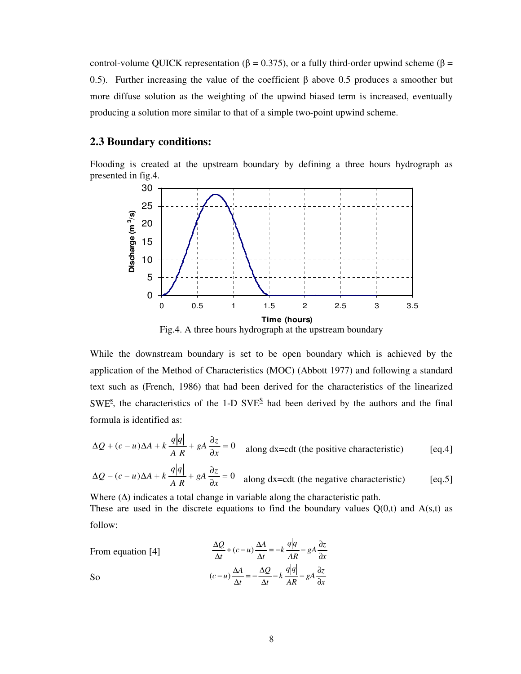control-volume QUICK representation (β = 0.375), or a fully third-order upwind scheme (β = 0.5). Further increasing the value of the coefficient β above 0.5 produces a smoother but more diffuse solution as the weighting of the upwind biased term is increased, eventually producing a solution more similar to that of a simple two-point upwind scheme.

## **2.3 Boundary conditions:**

Flooding is created at the upstream boundary by defining a three hours hydrograph as presented in fig.4.



Fig.4. A three hours hydrograph at the upstream boundary

While the downstream boundary is set to be open boundary which is achieved by the application of the Method of Characteristics (MOC) (Abbott 1977) and following a standard text such as (French, 1986) that had been derived for the characteristics of the linearized SWE<sup>s</sup>, the characteristics of the 1-D SVE<sup>S</sup> had been derived by the authors and the final formula is identified as:

$$
\Delta Q + (c - u)\Delta A + k \frac{q|q|}{A R} + gA \frac{\partial z}{\partial x} = 0 \quad \text{along } dx = \text{cdt (the positive characteristic)} \tag{eq.4}
$$

$$
\Delta Q - (c - u)\Delta A + k \frac{q|q|}{A R} + gA \frac{\partial z}{\partial x} = 0 \quad \text{along dx=cdt (the negative characteristic)} \tag{eq.5}
$$

Where  $(\Delta)$  indicates a total change in variable along the characteristic path. These are used in the discrete equations to find the boundary values  $Q(0,t)$  and  $A(s,t)$  as follow:

From equation [4] *x*  $rac{q|q|}{AR} - gA \frac{\partial z}{\partial x}$  $q$  $\frac{1}{t} = -k$  $\frac{Q}{t} + (c - u) \frac{\Delta A}{\Delta t}$ *Q* ∂  $\frac{\Delta A}{\Delta t} = -k \frac{q|q|}{AR} - gA \frac{\partial}{\partial x}$  $\frac{\Delta Q}{\Delta t} + (c - u) \frac{\Delta}{\Delta t}$  $\frac{\Delta Q}{\Delta} + (c - u)$ So *x*  $\frac{q|q|}{AR} - gA \frac{\partial z}{\partial x}$  $q|q$  $\frac{z}{t} - k$ *Q t*  $(c - u)\frac{\Delta A}{\Delta t} = -\frac{\Delta Q}{\Delta t} - k\frac{q|q|}{AR} - gA\frac{\partial}{\partial t}$  $\frac{\Delta Q}{\Delta t} - k \frac{q|q|}{AR} - gA \frac{\partial}{\partial t}$  $\frac{\Delta A}{\Delta t} = -\frac{\Delta}{\Delta t}$  $(c-u)\frac{\Delta A}{\Delta t} = -\frac{\Delta Q}{\Delta t} - k\frac{q|q|}{\Delta P} - gA\frac{\partial z}{\partial x}$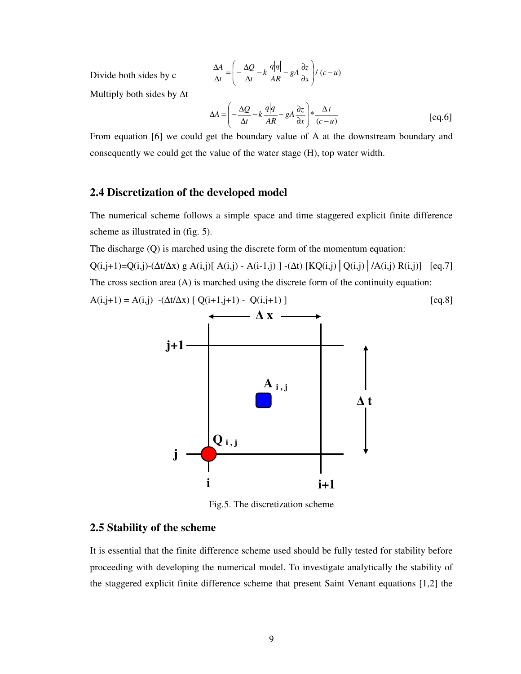$$
\frac{\Delta A}{\Delta t} = \left( -\frac{\Delta Q}{\Delta t} - k \frac{q|q|}{AR} - gA \frac{\partial z}{\partial x} \right) / (c - u)
$$

Multiply both sides by ∆t

Divide both sides by c

$$
\Delta A = \left( -\frac{\Delta Q}{\Delta t} - k \frac{q|q|}{AR} - gA \frac{\partial z}{\partial x} \right) * \frac{\Delta t}{(c - u)}
$$
 [eq.6]

From equation [6] we could get the boundary value of A at the downstream boundary and consequently we could get the value of the water stage (H), top water width.

### **2.4 Discretization of the developed model**

The numerical scheme follows a simple space and time staggered explicit finite difference scheme as illustrated in (fig. 5).

The discharge (Q) is marched using the discrete form of the momentum equation:

 $Q(i,j+1)=Q(i,j)-(\Delta t/\Delta x)$  g A(i,j)[ A(i,j) - A(i-1,j)]  $-(\Delta t)$  [KQ(i,j) | Q(i,j) | /A(i,j) R(i,j)] [eq.7] The cross section area (A) is marched using the discrete form of the continuity equation:

$$
A(i,j+1) = A(i,j) - (\Delta t/\Delta x) [Q(i+1,j+1) - Q(i,j+1)]
$$
 [eq.8]



Fig.5. The discretization scheme

# **2.5 Stability of the scheme**

It is essential that the finite difference scheme used should be fully tested for stability before proceeding with developing the numerical model. To investigate analytically the stability of the staggered explicit finite difference scheme that present Saint Venant equations [1,2] the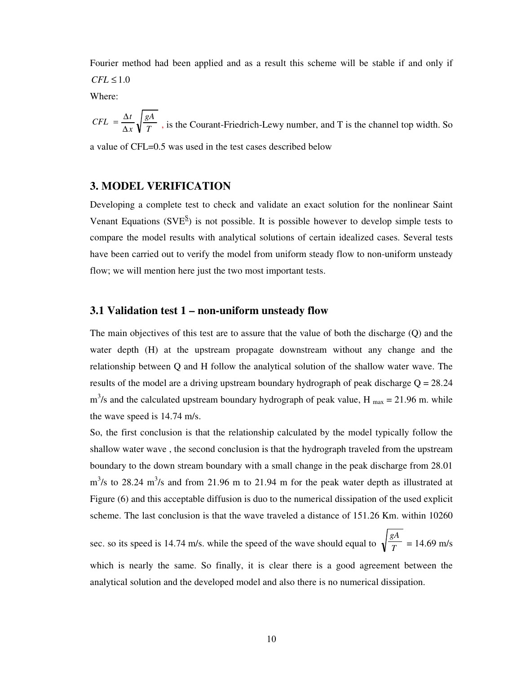Fourier method had been applied and as a result this scheme will be stable if and only if  $CFL \leq 1.0$ 

Where:

*T gA x*  $CFL = \frac{\Delta t}{t}$ ∆  $=\frac{\Delta t}{\Delta x}\sqrt{\frac{gA}{T}}$ , is the Courant-Friedrich-Lewy number, and T is the channel top width. So a value of CFL=0.5 was used in the test cases described below

### **3. MODEL VERIFICATION**

Developing a complete test to check and validate an exact solution for the nonlinear Saint Venant Equations ( $SVE^S$ ) is not possible. It is possible however to develop simple tests to compare the model results with analytical solutions of certain idealized cases. Several tests have been carried out to verify the model from uniform steady flow to non-uniform unsteady flow; we will mention here just the two most important tests.

### **3.1 Validation test 1 – non-uniform unsteady flow**

The main objectives of this test are to assure that the value of both the discharge (Q) and the water depth (H) at the upstream propagate downstream without any change and the relationship between Q and H follow the analytical solution of the shallow water wave. The results of the model are a driving upstream boundary hydrograph of peak discharge  $Q = 28.24$  $\text{m}^3$ /s and the calculated upstream boundary hydrograph of peak value, H  $_{\text{max}} = 21.96 \text{ m}$ . while the wave speed is 14.74 m/s.

So, the first conclusion is that the relationship calculated by the model typically follow the shallow water wave , the second conclusion is that the hydrograph traveled from the upstream boundary to the down stream boundary with a small change in the peak discharge from 28.01  $\text{m}^3$ /s to 28.24 m<sup>3</sup>/s and from 21.96 m to 21.94 m for the peak water depth as illustrated at Figure (6) and this acceptable diffusion is duo to the numerical dissipation of the used explicit scheme. The last conclusion is that the wave traveled a distance of 151.26 Km. within 10260

sec. so its speed is 14.74 m/s. while the speed of the wave should equal to  $\sqrt{\frac{2}{T}}$ *gA*  $= 14.69$  m/s which is nearly the same. So finally, it is clear there is a good agreement between the analytical solution and the developed model and also there is no numerical dissipation.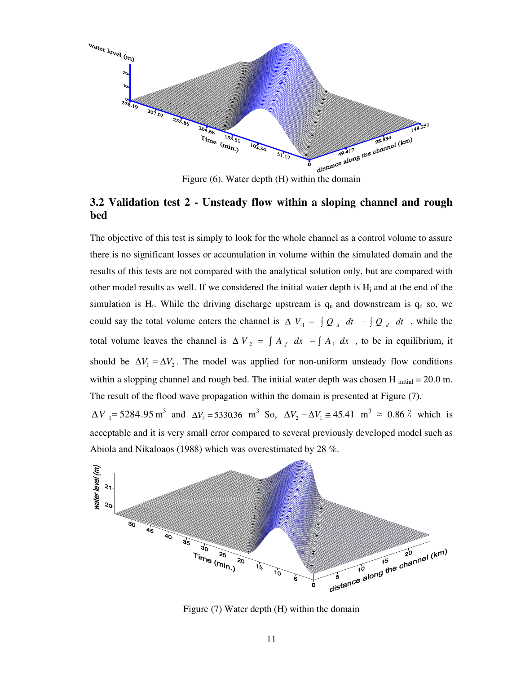

# **3.2 Validation test 2 - Unsteady flow within a sloping channel and rough bed**

The objective of this test is simply to look for the whole channel as a control volume to assure there is no significant losses or accumulation in volume within the simulated domain and the results of this tests are not compared with the analytical solution only, but are compared with other model results as well. If we considered the initial water depth is  $H_i$  and at the end of the simulation is  $H_f$ . While the driving discharge upstream is  $q_u$  and downstream is  $q_d$  so, we could say the total volume enters the channel is  $\Delta V_1 = \int Q_u dt - \int Q_d dt$ , while the total volume leaves the channel is  $\Delta V_2 = \int A_f dx - \int A_i dx$ , to be in equilibrium, it should be  $\Delta V_1 = \Delta V_2$ . The model was applied for non-uniform unsteady flow conditions within a slopping channel and rough bed. The initial water depth was chosen H  $_{initial} = 20.0$  m. The result of the flood wave propagation within the domain is presented at Figure (7).  $\Delta V$ <sub>1</sub> = 5284.95 m<sup>3</sup> and  $\Delta V_2$  = 5330.36 m<sup>3</sup> So,  $\Delta V_2 - \Delta V_1 \approx 45.41$  m<sup>3</sup> ≈ 0.86  $\lambda$  which is acceptable and it is very small error compared to several previously developed model such as



Figure (7) Water depth (H) within the domain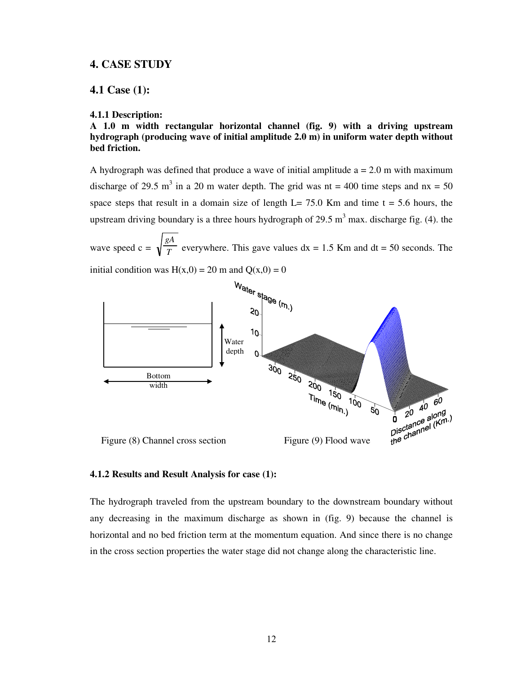#### **4. CASE STUDY**

#### **4.1 Case (1):**

#### **4.1.1 Description:**

**A 1.0 m width rectangular horizontal channel (fig. 9) with a driving upstream hydrograph (producing wave of initial amplitude 2.0 m) in uniform water depth without bed friction.** 

A hydrograph was defined that produce a wave of initial amplitude  $a = 2.0$  m with maximum discharge of 29.5 m<sup>3</sup> in a 20 m water depth. The grid was nt = 400 time steps and  $nx = 50$ space steps that result in a domain size of length  $L= 75.0$  Km and time t = 5.6 hours, the upstream driving boundary is a three hours hydrograph of 29.5  $m<sup>3</sup>$  max. discharge fig. (4). the

wave speed c =  $\sqrt{\frac{c}{T}}$ *gA* everywhere. This gave values  $dx = 1.5$  Km and  $dt = 50$  seconds. The initial condition was  $H(x,0) = 20$  m and  $Q(x,0) = 0$ 



#### **4.1.2 Results and Result Analysis for case (1):**

The hydrograph traveled from the upstream boundary to the downstream boundary without any decreasing in the maximum discharge as shown in (fig. 9) because the channel is horizontal and no bed friction term at the momentum equation. And since there is no change in the cross section properties the water stage did not change along the characteristic line.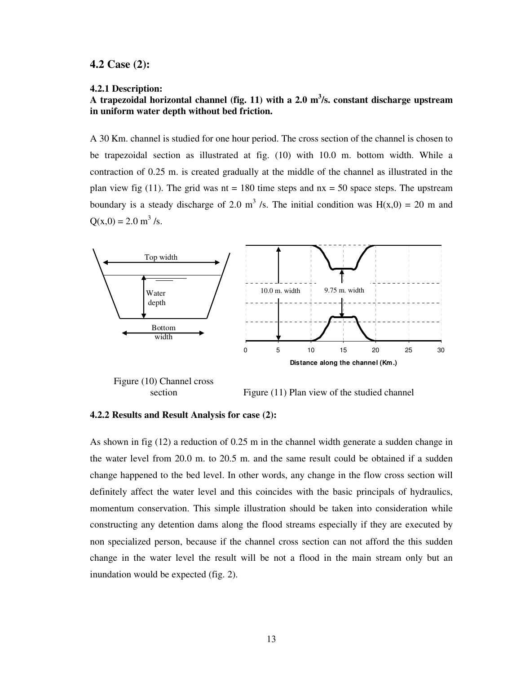#### **4.2 Case (2):**

#### **4.2.1 Description:**

# **A trapezoidal horizontal channel (fig. 11) with a 2.0 m<sup>3</sup> /s. constant discharge upstream in uniform water depth without bed friction.**

A 30 Km. channel is studied for one hour period. The cross section of the channel is chosen to be trapezoidal section as illustrated at fig. (10) with 10.0 m. bottom width. While a contraction of 0.25 m. is created gradually at the middle of the channel as illustrated in the plan view fig (11). The grid was  $nt = 180$  time steps and  $nx = 50$  space steps. The upstream boundary is a steady discharge of 2.0 m<sup>3</sup>/s. The initial condition was  $H(x,0) = 20$  m and  $Q(x,0) = 2.0$  m<sup>3</sup>/s.



section Figure (11) Plan view of the studied channel

#### **4.2.2 Results and Result Analysis for case (2):**

As shown in fig (12) a reduction of 0.25 m in the channel width generate a sudden change in the water level from 20.0 m. to 20.5 m. and the same result could be obtained if a sudden change happened to the bed level. In other words, any change in the flow cross section will definitely affect the water level and this coincides with the basic principals of hydraulics, momentum conservation. This simple illustration should be taken into consideration while constructing any detention dams along the flood streams especially if they are executed by non specialized person, because if the channel cross section can not afford the this sudden change in the water level the result will be not a flood in the main stream only but an inundation would be expected (fig. 2).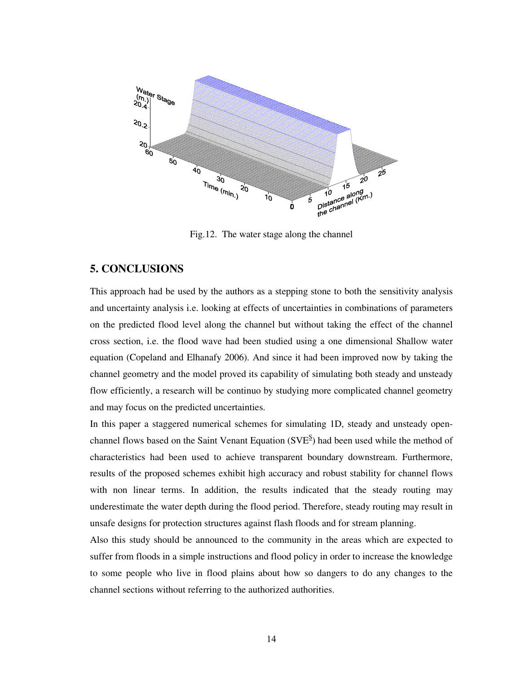

Fig.12. The water stage along the channel

## **5. CONCLUSIONS**

This approach had be used by the authors as a stepping stone to both the sensitivity analysis and uncertainty analysis i.e. looking at effects of uncertainties in combinations of parameters on the predicted flood level along the channel but without taking the effect of the channel cross section, i.e. the flood wave had been studied using a one dimensional Shallow water equation (Copeland and Elhanafy 2006). And since it had been improved now by taking the channel geometry and the model proved its capability of simulating both steady and unsteady flow efficiently, a research will be continuo by studying more complicated channel geometry and may focus on the predicted uncertainties.

In this paper a staggered numerical schemes for simulating 1D, steady and unsteady openchannel flows based on the Saint Venant Equation (SVE<sup>S</sup>) had been used while the method of characteristics had been used to achieve transparent boundary downstream. Furthermore, results of the proposed schemes exhibit high accuracy and robust stability for channel flows with non linear terms. In addition, the results indicated that the steady routing may underestimate the water depth during the flood period. Therefore, steady routing may result in unsafe designs for protection structures against flash floods and for stream planning.

Also this study should be announced to the community in the areas which are expected to suffer from floods in a simple instructions and flood policy in order to increase the knowledge to some people who live in flood plains about how so dangers to do any changes to the channel sections without referring to the authorized authorities.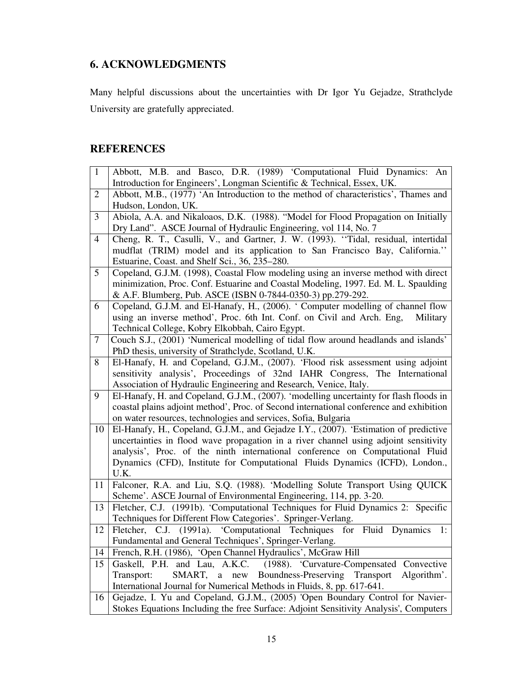# **6. ACKNOWLEDGMENTS**

Many helpful discussions about the uncertainties with Dr Igor Yu Gejadze, Strathclyde University are gratefully appreciated.

# **REFERENCES**

|                | Abbott, M.B. and Basco, D.R. (1989) 'Computational Fluid Dynamics: An                                                                                    |
|----------------|----------------------------------------------------------------------------------------------------------------------------------------------------------|
|                | Introduction for Engineers', Longman Scientific & Technical, Essex, UK.                                                                                  |
| $\overline{2}$ | Abbott, M.B., (1977) 'An Introduction to the method of characteristics', Thames and                                                                      |
|                | Hudson, London, UK.                                                                                                                                      |
| 3              | Abiola, A.A. and Nikaloaos, D.K. (1988). "Model for Flood Propagation on Initially                                                                       |
|                | Dry Land". ASCE Journal of Hydraulic Engineering, vol 114, No. 7                                                                                         |
| $\overline{4}$ | Cheng, R. T., Casulli, V., and Gartner, J. W. (1993). "Tidal, residual, intertidal                                                                       |
|                | mudflat (TRIM) model and its application to San Francisco Bay, California."                                                                              |
|                | Estuarine, Coast. and Shelf Sci., 36, 235-280.                                                                                                           |
| 5              | Copeland, G.J.M. (1998), Coastal Flow modeling using an inverse method with direct                                                                       |
|                | minimization, Proc. Conf. Estuarine and Coastal Modeling, 1997. Ed. M. L. Spaulding                                                                      |
|                | & A.F. Blumberg, Pub. ASCE (ISBN 0-7844-0350-3) pp.279-292.                                                                                              |
| 6              | Copeland, G.J.M. and El-Hanafy, H., (2006). ' Computer modelling of channel flow                                                                         |
|                | using an inverse method', Proc. 6th Int. Conf. on Civil and Arch. Eng,<br>Military                                                                       |
|                | Technical College, Kobry Elkobbah, Cairo Egypt.                                                                                                          |
| $\overline{7}$ | Couch S.J., (2001) 'Numerical modelling of tidal flow around headlands and islands'                                                                      |
|                | PhD thesis, university of Strathclyde, Scotland, U.K.                                                                                                    |
| 8              | El-Hanafy, H. and Copeland, G.J.M., (2007). 'Flood risk assessment using adjoint                                                                         |
|                | sensitivity analysis', Proceedings of 32nd IAHR Congress, The International                                                                              |
|                | Association of Hydraulic Engineering and Research, Venice, Italy.                                                                                        |
| 9              | El-Hanafy, H. and Copeland, G.J.M., (2007). 'modelling uncertainty for flash floods in                                                                   |
|                |                                                                                                                                                          |
|                | coastal plains adjoint method', Proc. of Second international conference and exhibition                                                                  |
|                | on water resources, technologies and services, Sofia, Bulgaria                                                                                           |
| 10             | El-Hanafy, H., Copeland, G.J.M., and Gejadze I.Y., (2007). 'Estimation of predictive                                                                     |
|                | uncertainties in flood wave propagation in a river channel using adjoint sensitivity                                                                     |
|                | analysis', Proc. of the ninth international conference on Computational Fluid                                                                            |
|                | Dynamics (CFD), Institute for Computational Fluids Dynamics (ICFD), London.,                                                                             |
|                | U.K.                                                                                                                                                     |
| 11             | Falconer, R.A. and Liu, S.Q. (1988). 'Modelling Solute Transport Using QUICK                                                                             |
|                | Scheme'. ASCE Journal of Environmental Engineering, 114, pp. 3-20.                                                                                       |
| 13             | Fletcher, C.J. (1991b). 'Computational Techniques for Fluid Dynamics 2: Specific                                                                         |
|                | Techniques for Different Flow Categories'. Springer-Verlang.                                                                                             |
| 12             | Fletcher, C.J. (1991a). 'Computational Techniques for Fluid Dynamics<br>1:                                                                               |
|                | Fundamental and General Techniques', Springer-Verlang.                                                                                                   |
| 14             | French, R.H. (1986), 'Open Channel Hydraulics', McGraw Hill                                                                                              |
| 15             | Gaskell, P.H. and Lau, A.K.C. (1988). 'Curvature-Compensated Convective                                                                                  |
|                | a new Boundness-Preserving<br>Transport<br>Algorithm'.<br>Transport:<br>SMART,                                                                           |
| 16             | International Journal for Numerical Methods in Fluids, 8, pp. 617-641.<br>Gejadze, I. Yu and Copeland, G.J.M., (2005) 'Open Boundary Control for Navier- |